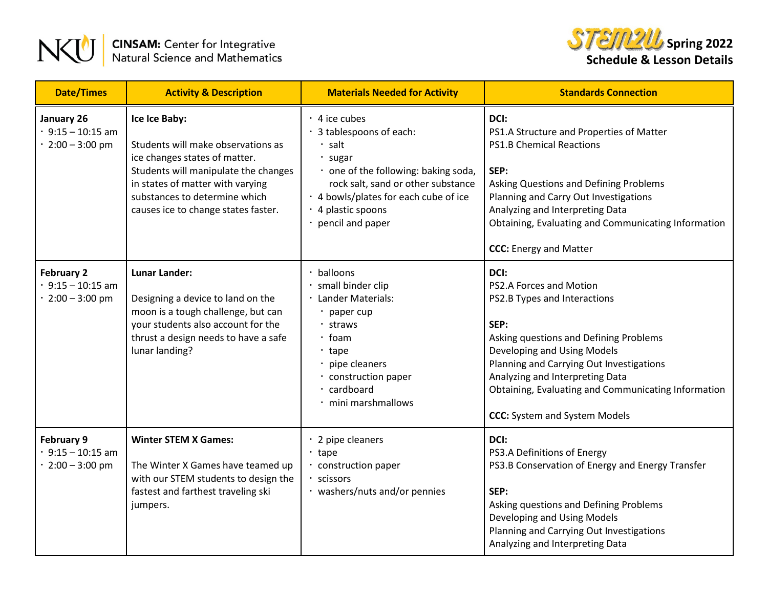



| <b>Date/Times</b>                                               | <b>Activity &amp; Description</b>                                                                                                                                                                                                        | <b>Materials Needed for Activity</b>                                                                                                                                                                                                      | <b>Standards Connection</b>                                                                                                                                                                                                                                                                                                    |
|-----------------------------------------------------------------|------------------------------------------------------------------------------------------------------------------------------------------------------------------------------------------------------------------------------------------|-------------------------------------------------------------------------------------------------------------------------------------------------------------------------------------------------------------------------------------------|--------------------------------------------------------------------------------------------------------------------------------------------------------------------------------------------------------------------------------------------------------------------------------------------------------------------------------|
| January 26<br>$.9:15 - 10:15$ am<br>2:00 - 3:00 pm              | Ice Ice Baby:<br>Students will make observations as<br>ice changes states of matter.<br>Students will manipulate the changes<br>in states of matter with varying<br>substances to determine which<br>causes ice to change states faster. | $\cdot$ 4 ice cubes<br>3 tablespoons of each:<br>$\cdot$ salt<br>· sugar<br>· one of the following: baking soda,<br>rock salt, sand or other substance<br>. 4 bowls/plates for each cube of ice<br>· 4 plastic spoons<br>pencil and paper | DCI:<br>PS1.A Structure and Properties of Matter<br><b>PS1.B Chemical Reactions</b><br>SEP:<br>Asking Questions and Defining Problems<br>Planning and Carry Out Investigations<br>Analyzing and Interpreting Data<br>Obtaining, Evaluating and Communicating Information<br><b>CCC:</b> Energy and Matter                      |
| <b>February 2</b><br>$9:15 - 10:15$ am<br>2:00 - 3:00 pm        | <b>Lunar Lander:</b><br>Designing a device to land on the<br>moon is a tough challenge, but can<br>your students also account for the<br>thrust a design needs to have a safe<br>lunar landing?                                          | balloons<br>small binder clip<br>Lander Materials:<br>· paper cup<br>· straws<br>$\cdot$ foam<br>$\cdot$ tape<br>· pipe cleaners<br>· construction paper<br>· cardboard<br>· mini marshmallows                                            | DCI:<br>PS2.A Forces and Motion<br>PS2.B Types and Interactions<br>SEP:<br>Asking questions and Defining Problems<br>Developing and Using Models<br>Planning and Carrying Out Investigations<br>Analyzing and Interpreting Data<br>Obtaining, Evaluating and Communicating Information<br><b>CCC:</b> System and System Models |
| February 9<br>$\cdot$ 9:15 - 10:15 am<br>$\cdot$ 2:00 - 3:00 pm | <b>Winter STEM X Games:</b><br>The Winter X Games have teamed up<br>with our STEM students to design the<br>fastest and farthest traveling ski<br>jumpers.                                                                               | $\cdot$ 2 pipe cleaners<br>$\cdot$ tape<br>construction paper<br>scissors<br>· washers/nuts and/or pennies                                                                                                                                | DCI:<br>PS3.A Definitions of Energy<br>PS3.B Conservation of Energy and Energy Transfer<br>SEP:<br>Asking questions and Defining Problems<br>Developing and Using Models<br>Planning and Carrying Out Investigations<br>Analyzing and Interpreting Data                                                                        |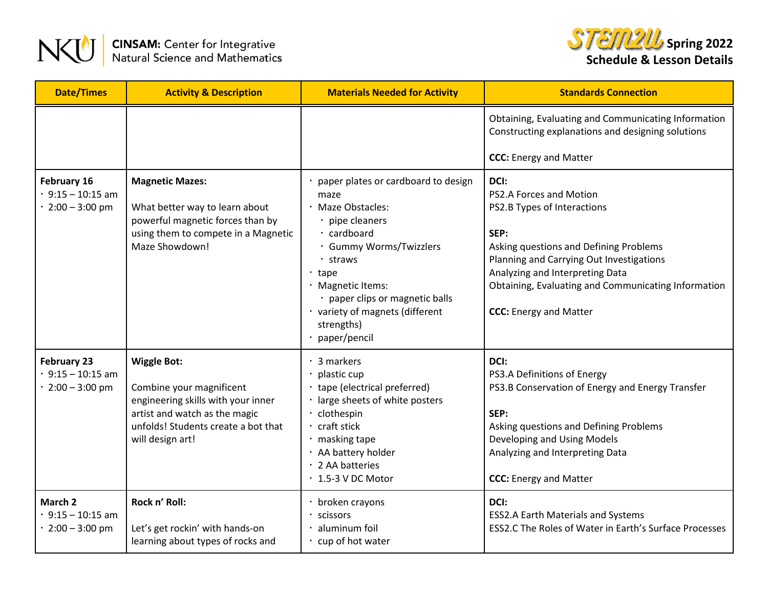



| <b>Date/Times</b>                                            | <b>Activity &amp; Description</b>                                                                                                                                                | <b>Materials Needed for Activity</b>                                                                                                                                                                                                                                               | <b>Standards Connection</b>                                                                                                                                                                                                                                                             |
|--------------------------------------------------------------|----------------------------------------------------------------------------------------------------------------------------------------------------------------------------------|------------------------------------------------------------------------------------------------------------------------------------------------------------------------------------------------------------------------------------------------------------------------------------|-----------------------------------------------------------------------------------------------------------------------------------------------------------------------------------------------------------------------------------------------------------------------------------------|
|                                                              |                                                                                                                                                                                  |                                                                                                                                                                                                                                                                                    | Obtaining, Evaluating and Communicating Information<br>Constructing explanations and designing solutions<br><b>CCC:</b> Energy and Matter                                                                                                                                               |
| February 16<br>$9:15 - 10:15$ am<br>$2:00 - 3:00$ pm         | <b>Magnetic Mazes:</b><br>What better way to learn about<br>powerful magnetic forces than by<br>using them to compete in a Magnetic<br>Maze Showdown!                            | paper plates or cardboard to design<br>maze<br>· Maze Obstacles:<br>· pipe cleaners<br>· cardboard<br>· Gummy Worms/Twizzlers<br>· straws<br>$\cdot$ tape<br>· Magnetic Items:<br>· paper clips or magnetic balls<br>· variety of magnets (different<br>strengths)<br>paper/pencil | DCI:<br>PS2.A Forces and Motion<br>PS2.B Types of Interactions<br>SEP:<br>Asking questions and Defining Problems<br>Planning and Carrying Out Investigations<br>Analyzing and Interpreting Data<br>Obtaining, Evaluating and Communicating Information<br><b>CCC:</b> Energy and Matter |
| <b>February 23</b><br>$9:15 - 10:15$ am<br>$2:00 - 3:00$ pm  | <b>Wiggle Bot:</b><br>Combine your magnificent<br>engineering skills with your inner<br>artist and watch as the magic<br>unfolds! Students create a bot that<br>will design art! | $\cdot$ 3 markers<br>plastic cup<br>tape (electrical preferred)<br>· large sheets of white posters<br>clothespin<br>craft stick<br>masking tape<br>· AA battery holder<br>· 2 AA batteries<br>$\cdot$ 1.5-3 V DC Motor                                                             | DCI:<br>PS3.A Definitions of Energy<br>PS3.B Conservation of Energy and Energy Transfer<br>SEP:<br>Asking questions and Defining Problems<br>Developing and Using Models<br>Analyzing and Interpreting Data<br><b>CCC:</b> Energy and Matter                                            |
| March 2<br>$\cdot$ 9:15 - 10:15 am<br>$\cdot$ 2:00 - 3:00 pm | Rock n' Roll:<br>Let's get rockin' with hands-on<br>learning about types of rocks and                                                                                            | broken crayons<br>scissors<br>aluminum foil<br>cup of hot water                                                                                                                                                                                                                    | DCI:<br><b>ESS2.A Earth Materials and Systems</b><br>ESS2.C The Roles of Water in Earth's Surface Processes                                                                                                                                                                             |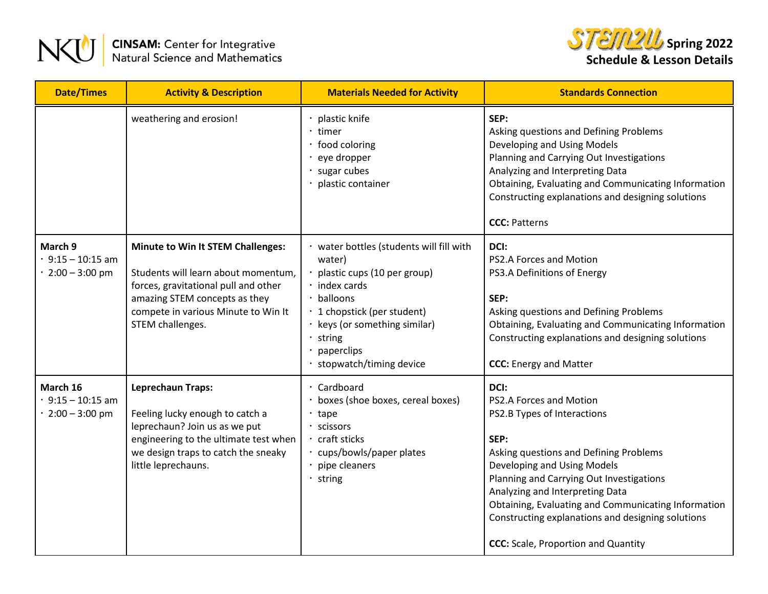



| <b>Date/Times</b>                                 | <b>Activity &amp; Description</b>                                                                                                                                                                                   | <b>Materials Needed for Activity</b>                                                                                                                                                                                                              | <b>Standards Connection</b>                                                                                                                                                                                                                                                                                                                                                              |
|---------------------------------------------------|---------------------------------------------------------------------------------------------------------------------------------------------------------------------------------------------------------------------|---------------------------------------------------------------------------------------------------------------------------------------------------------------------------------------------------------------------------------------------------|------------------------------------------------------------------------------------------------------------------------------------------------------------------------------------------------------------------------------------------------------------------------------------------------------------------------------------------------------------------------------------------|
|                                                   | weathering and erosion!                                                                                                                                                                                             | plastic knife<br>timer<br>· food coloring<br>eye dropper<br>sugar cubes<br>plastic container                                                                                                                                                      | SEP:<br>Asking questions and Defining Problems<br>Developing and Using Models<br>Planning and Carrying Out Investigations<br>Analyzing and Interpreting Data<br>Obtaining, Evaluating and Communicating Information<br>Constructing explanations and designing solutions<br><b>CCC: Patterns</b>                                                                                         |
| March 9<br>$9:15 - 10:15$ am<br>$2:00 - 3:00$ pm  | <b>Minute to Win It STEM Challenges:</b><br>Students will learn about momentum,<br>forces, gravitational pull and other<br>amazing STEM concepts as they<br>compete in various Minute to Win It<br>STEM challenges. | · water bottles (students will fill with<br>water)<br>plastic cups (10 per group)<br>$\cdot$ index cards<br>· balloons<br>· 1 chopstick (per student)<br>· keys (or something similar)<br>$\cdot$ string<br>paperclips<br>stopwatch/timing device | DCI:<br>PS2.A Forces and Motion<br>PS3.A Definitions of Energy<br>SEP:<br>Asking questions and Defining Problems<br>Obtaining, Evaluating and Communicating Information<br>Constructing explanations and designing solutions<br><b>CCC:</b> Energy and Matter                                                                                                                            |
| March 16<br>$9:15 - 10:15$ am<br>$2:00 - 3:00$ pm | <b>Leprechaun Traps:</b><br>Feeling lucky enough to catch a<br>leprechaun? Join us as we put<br>engineering to the ultimate test when<br>we design traps to catch the sneaky<br>little leprechauns.                 | Cardboard<br>boxes (shoe boxes, cereal boxes)<br>$·$ tape<br>· scissors<br>· craft sticks<br>· cups/bowls/paper plates<br>pipe cleaners<br>· string                                                                                               | DCI:<br>PS2.A Forces and Motion<br>PS2.B Types of Interactions<br>SEP:<br>Asking questions and Defining Problems<br>Developing and Using Models<br>Planning and Carrying Out Investigations<br>Analyzing and Interpreting Data<br>Obtaining, Evaluating and Communicating Information<br>Constructing explanations and designing solutions<br><b>CCC:</b> Scale, Proportion and Quantity |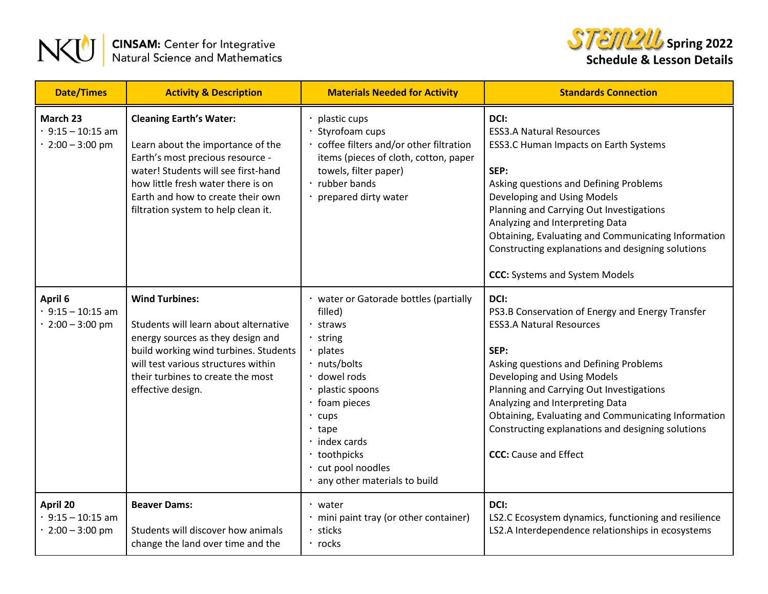



| <b>Date/Times</b>                                             | <b>Activity &amp; Description</b>                                                                                                                                                                                                                                | <b>Materials Needed for Activity</b>                                                                                                                                                                                                                                        | <b>Standards Connection</b>                                                                                                                                                                                                                                                                                                                                                                             |
|---------------------------------------------------------------|------------------------------------------------------------------------------------------------------------------------------------------------------------------------------------------------------------------------------------------------------------------|-----------------------------------------------------------------------------------------------------------------------------------------------------------------------------------------------------------------------------------------------------------------------------|---------------------------------------------------------------------------------------------------------------------------------------------------------------------------------------------------------------------------------------------------------------------------------------------------------------------------------------------------------------------------------------------------------|
| March 23<br>$\cdot$ 9:15 - 10:15 am<br>$\cdot$ 2:00 - 3:00 pm | <b>Cleaning Earth's Water:</b><br>Learn about the importance of the<br>Earth's most precious resource -<br>water! Students will see first-hand<br>how little fresh water there is on<br>Earth and how to create their own<br>filtration system to help clean it. | plastic cups<br>Styrofoam cups<br>coffee filters and/or other filtration<br>items (pieces of cloth, cotton, paper<br>towels, filter paper)<br>· rubber bands<br>prepared dirty water                                                                                        | DCI:<br><b>ESS3.A Natural Resources</b><br>ESS3.C Human Impacts on Earth Systems<br>SEP:<br>Asking questions and Defining Problems<br>Developing and Using Models<br>Planning and Carrying Out Investigations<br>Analyzing and Interpreting Data<br>Obtaining, Evaluating and Communicating Information<br>Constructing explanations and designing solutions<br><b>CCC:</b> Systems and System Models   |
| April 6<br>$\cdot$ 9:15 - 10:15 am<br>2:00 - 3:00 pm          | <b>Wind Turbines:</b><br>Students will learn about alternative<br>energy sources as they design and<br>build working wind turbines. Students<br>will test various structures within<br>their turbines to create the most<br>effective design.                    | · water or Gatorade bottles (partially<br>filled)<br>· straws<br>· string<br>plates<br>· nuts/bolts<br>· dowel rods<br>plastic spoons<br>· foam pieces<br>cups<br>$\cdot$ tape<br>$\cdot$ index cards<br>· toothpicks<br>· cut pool noodles<br>any other materials to build | DCI:<br>PS3.B Conservation of Energy and Energy Transfer<br><b>ESS3.A Natural Resources</b><br>SEP:<br>Asking questions and Defining Problems<br>Developing and Using Models<br>Planning and Carrying Out Investigations<br>Analyzing and Interpreting Data<br>Obtaining, Evaluating and Communicating Information<br>Constructing explanations and designing solutions<br><b>CCC:</b> Cause and Effect |
| April 20<br>$\cdot$ 9:15 - 10:15 am<br>$\cdot$ 2:00 - 3:00 pm | <b>Beaver Dams:</b><br>Students will discover how animals<br>change the land over time and the                                                                                                                                                                   | $\cdot$ water<br>mini paint tray (or other container)<br>sticks<br>$\cdot$ rocks                                                                                                                                                                                            | DCI:<br>LS2.C Ecosystem dynamics, functioning and resilience<br>LS2.A Interdependence relationships in ecosystems                                                                                                                                                                                                                                                                                       |